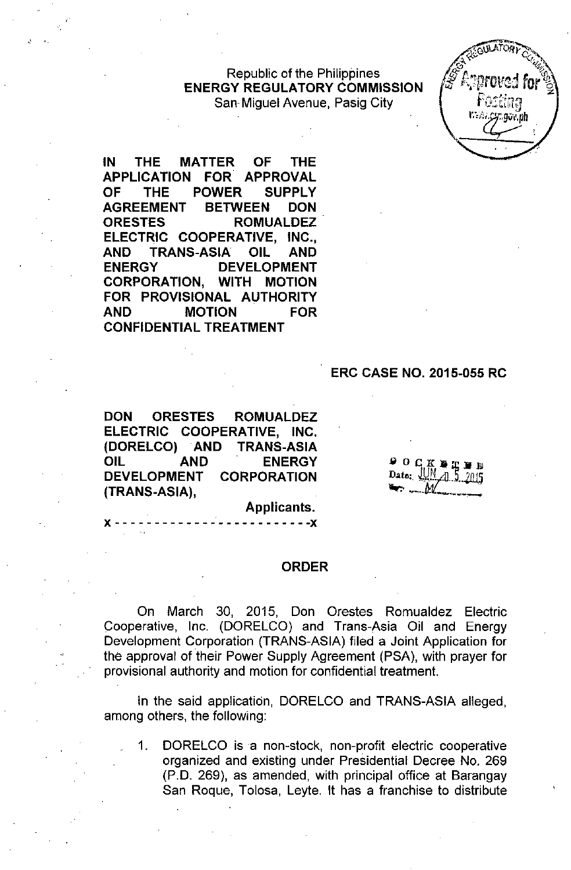#### Republic of the Philippines **ENERGY REGULATORY COMMISSION** San, Miguel Avenue, Pasig City

**IN THE MATTER OF THE APPLICATION FOR APPROVAL OF THE POWER SUPPLY AGREEMENT BETWEEN DON ORESTES ROMUALDEZ ELECTRIC COOPERATIVE, INC., AND TRANS-ASIA OIL AND ENERGY DEVELOPMENT CORPORATION, WITH MOTION FOR PROVISIONAL AUTHORITY AND MOTION FOR CONFIDENTIAL TREATMENT**

 $\frac{1}{2}$ ,  $\frac{1}{2}$ 

#### **ERC CASE NO. 2015-055 RC**

**DON ORESTES ROMUALDEZ ELECTRIC COOPERATIVE, INC. (DORELCO) AND TRANS-ASIA OIL AND ENERGY DEVELOPMENT CORPORATION (TRANS-ASIA),**

**១០០៥ ឆ្នាំ ១១** Date: UN 4.1.

**Applicants.** x - - - - - - - - - - - - - - - - - - - - - - - - **-x**

#### **ORDER**

On March 30, 2015, Don Orestes Romualdez Electric Cooperative, Inc. (DORELCO) and Trans-Asia Oil and Energy Development Corporation (TRANS-ASIA) filed a Joint Application for the approval of their Power Supply Agreement (PSA), with prayer for provisional authority and motion for confidential treatment.

In the said application, DORELCO and TRANS-ASIA alleged, among others, the following:

1. DORELCO is a non-stock, non-profit electric cooperative organized and existing under Presidential Decree No. 269 (P.O. 269), as amended, with principal office at Barangay San Roque, Tolosa, Leyte. **It** has a franchise to distribute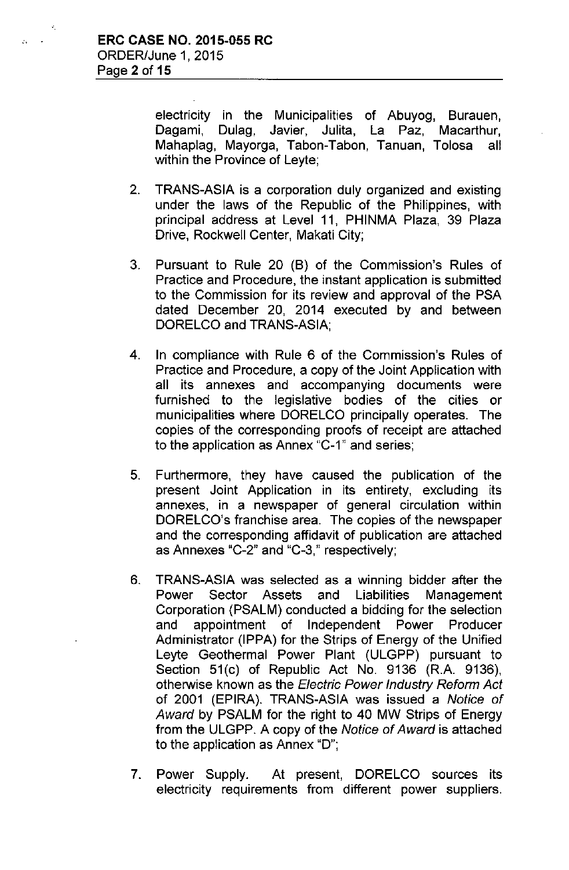$\ddot{\cdot}$ 

electricity in the Municipalities of Abuyog, Burauen, Dagami, Dulag, Javier, Julita, La Paz, Macarthur, Mahaplag, Mayorga, Tabon-Tabon, Tanuan, Tolosa all within the Province of Leyte;

- 2. TRANS-ASIA is a corporation duly organized and existing under the laws of the Republic of the Philippines, with principal address at Level 11, PHINMA Plaza, 39 Plaza Drive, Rockwell Center, Makati City;
- 3. Pursuant to Rule 20 (B) of the Commission's Rules of Practice and Procedure, the instant application is submitted to the Commission for its review and approval of the PSA dated December 20, 2014 executed by and between DORELCO and TRANS-ASIA;
- 4. In compliance with Rule 6 of the Commission's Rules of Practice and Procedure, a copy of the Joint Application with all its annexes and accompanying documents were furnished to the legislative bodies of the cities or municipalities where DORELCO principally operates. The copies of the corresponding proofs of receipt are attached to the application as Annex "C-1" and series;
- 5. Furthermore, they have caused the publication of the present Joint Application in its entirety, excluding its annexes, in a newspaper of general circulation within DORELCO's franchise area. The copies of the newspaper and the corresponding affidavit of publication are attached as Annexes "C-2" and "C-3," respectively;
- 6. TRANS-ASIA was selected as a winning bidder after the Power Sector Assets and Liabilities Management Corporation (PSALM) conducted a bidding for the selection and appointment of Independent Power Producer Administrator (IPPA) for the Strips of Energy of the Unified Leyte Geothermal Power Plant (ULGPP) pursuant to Section 51(c) of Republic Act No. 9136 (R.A. 9136), otherwise known as the *Electric Power Industry Reform Act* of 2001 (EPIRA). TRANS-ASIA was issued a *Notice of Award* by PSALM for the right to 40 MW Strips of Energy from the ULGPP. A copy of the *Notice of Award* is attached to the application as Annex "D";
- 7. Power Supply. At present, DORELCO sources its electricity requirements from different power suppliers.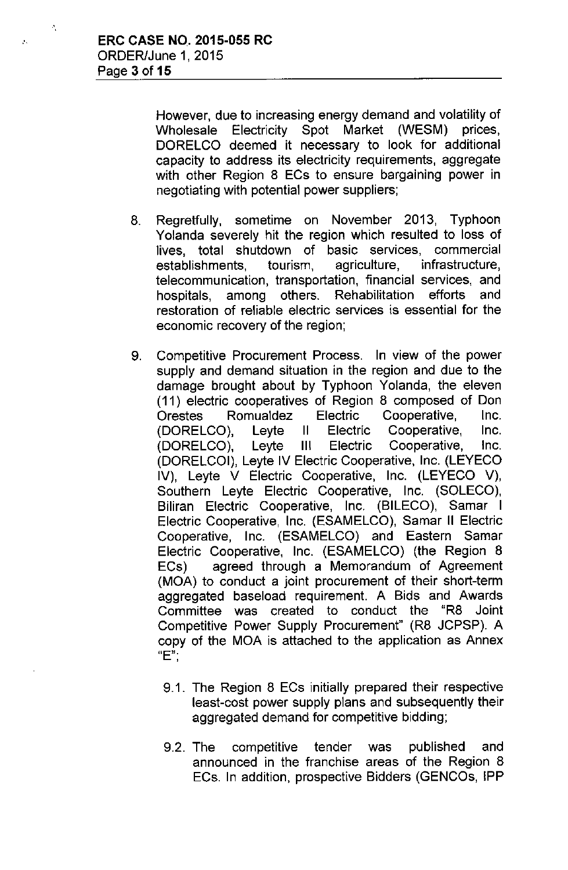.'.

.

However, due to increasing energy demand and volatility of Wholesale Electricity Spot Market (WESM) prices, DORELCO deemed it necessary to look for additional capacity to address its electricity requirements, aggregate with other Region 8 ECs to ensure bargaining power in negotiating with potential power suppliers;

- 8. Regretfully, sometime on November 2013, Typhoon Yolanda severely hit the region which resulted to loss of lives, total shutdown of basic services, commercial establishments, tourism, agriculture, infrastructure, telecommunication, transportation, financial services, and hospitals, among others. Rehabilitation efforts and restoration of reliable electric services is essential for the economic recovery of the region;
- 9. Competitive Procurement Process. In view of the power supply and demand situation in the region and due to the damage brought about by Typhoon Yolanda, the eleven (11) electric cooperatives of Region 8 composed of Don Orestes Romualdez Electric Cooperative, Inc. (DORELCO), Leyte II Electric Cooperative, Inc. (DORELCO), Leyte III Electric Cooperative, Inc. (DORELCOI), Leyte IV Electric Cooperative, Inc. (LEYECO IV), Leyte V Electric Cooperative, Inc. (LEYECO V), Southern Leyte Electric Cooperative, Inc. (SOLECO), Biliran Electric Cooperative, Inc. (BILECO), Samar I Electric Cooperative, Inc. (ESAMELCO), Samar II Electric Cooperative, Inc. (ESAMELCO) and Eastern Samar Electric Cooperative, Inc. (ESAMELCO) (the Region 8 ECs) agreed through a Memorandum of Agreement (MOA) to conduct a joint procurement of their short-term aggregated baseload requirement. A Bids and Awards Committee was created to conduct the "R8 Joint Competitive Power Supply Procurement" (R8 JCPSP). A copy of the MOA is attached to the application as Annex **"E".**,
	- 9.1. The Region 8 ECs initially prepared their respective least-cost power supply plans and subsequently their aggregated demand for competitive bidding;
	- 9.2. The competitive tender was published and announced in the franchise areas of the Region 8 ECs. In addition, prospective Bidders (GENCOs, IPP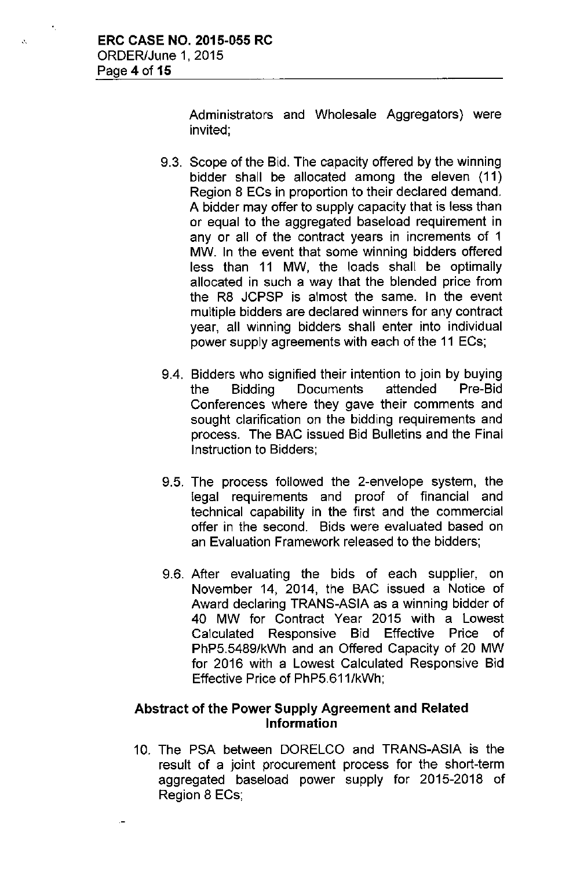$\mathcal{L}$ 

Administrators and Wholesale Aggregators) were invited;

- 9.3. Scope of the Bid. The capacity offered by the winning bidder shall be allocated among the eleven (11) Region 8 ECs in proportion to their declared demand. A bidder may offer to supply capacity that is less than or equal to the aggregated baseload requirement in any or all of the contract years in increments of 1 MW. In the event that some winning bidders offered less than 11 MW, the loads shall be optimally allocated in such a way that the blended price from the R8 JCPSP is almost the same. In the event multiple bidders are declared winners for any contract year, all winning bidders shall enter into individual power supply agreements with each of the 11 ECs;
- 9.4. Bidders who signified their intention to join by buying the Bidding Documents attended Pre-Bid Conferences where they gave their comments and sought clarification on the bidding requirements and process. The BAC issued Bid Bulletins and the Final Instruction to Bidders;
- 9.5. The process followed the 2-envelope system, the legal requirements and proof of financial and technical capability in the first and the commercial offer in the second. Bids were evaluated based on an Evaluation Framework released to the bidders;
- 9.6. After evaluating the bids of each supplier, on November 14, 2014, the BAC issued a Notice of Award declaring TRANS-ASIA as a winning bidder of 40 MW for Contract Year 2015 with a Lowest Calculated Responsive Bid Effective Price of PhP5.5489/kWh and an Offered Capacity of 20 MW for 2016 with a Lowest Calculated Responsive Bid Effective Price of PhP5.611/kWh;

## Abstract of the Power Supply Agreement and Related Information

10. The PSA between DORELCO and TRANS-ASIA is the result of a joint procurement process for the short-term aggregated baseload power supply for 2015-2018 of Region 8 ECs;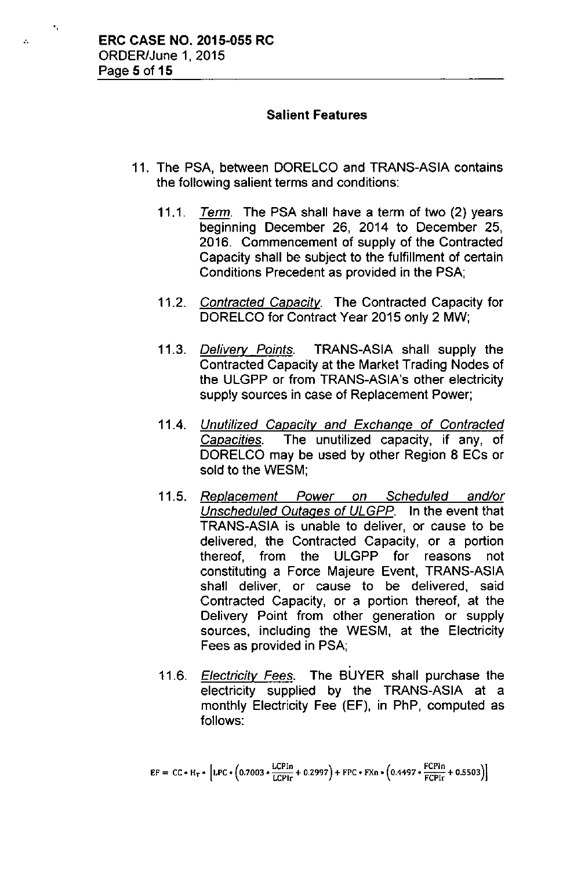'.

 $\mathcal{L}$ 

## Salient Features

- 11. The PSA, between DORELCO and TRANS-ASIA contains the following salient terms and conditions:
	- *11.1. Term.* The PSA shall have a term of two (2) years beginning December 26, 2014 to December 25, 2016. Commencement of supply of the Contracted Capacity shall be subject to the fulfillment of certain Conditions Precedent as provided in the PSA;
	- *11.2. Contracted Capacity.* The Contracted Capacity for DORELCO for Contract Year 2015 only 2 MW;
	- *11.3. Delivery Points.* TRANS-ASIA shall supply the Contracted Capacity at the Market Trading Nodes of the ULGPP or from TRANS-ASIA's other electricity supply sources in case of Replacement Power;
	- *11.4. Unutilized Capacity and Exchange* of *Contracted Capacities.* The unutilized capacity, if any, of DORELCO may be used by other Region 8 ECs or sold to the WESM;
	- *11.5. Replacement Power on Scheduled and/or Unscheduled Outages* of *ULGPP.* In the event that TRANS-ASIA is unable to deliver, or cause to be delivered, the Contracted Capacity, or a portion thereof, from the ULGPP for reasons not constituting a Force Majeure Event, TRANS-ASIA shall deliver, or cause to be delivered, said Contracted Capacity, or a portion thereof, at the Delivery Point from other generation or supply sources, including the WESM, at the Electricity Fees as provided in PSA;
	- . *11.6. Electricity Fees.* The BUYER shall purchase the electricity supplied by the TRANS-ASIA at a monthly Electricity Fee (EF), in PhP, computed as follows:

 $\mathsf{EF}=\mathsf{CC}*\mathsf{H}_{\mathsf{T}}*\left[\mathsf{LPC}*\left(0.7003*\frac{\mathsf{LCPIn}}{\mathsf{LCPlr}}+0.2997\right)+\mathsf{FPC}*\mathsf{FXn}*\left(0.4497*\frac{\mathsf{FCPIn}}{\mathsf{FCPIr}}+0.55035\right)\right]$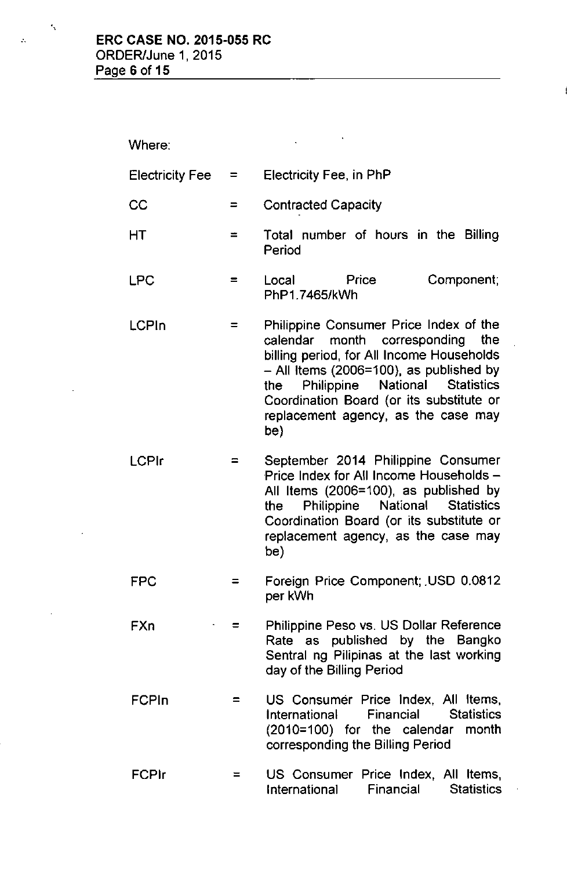Where:

"

t,

 $\ddot{\phantom{a}}$ 

 $\mathcal{A}^{\mathcal{A}}$ 

| <b>Electricity Fee</b> | $=$ $\qquad$ | Electricity Fee, in PhP                                                                                                                                                                                                                                                                                    |
|------------------------|--------------|------------------------------------------------------------------------------------------------------------------------------------------------------------------------------------------------------------------------------------------------------------------------------------------------------------|
| CC                     | $\equiv$     | <b>Contracted Capacity</b>                                                                                                                                                                                                                                                                                 |
| НT                     | ⋍            | Total number of hours in the Billing<br>Period                                                                                                                                                                                                                                                             |
| <b>LPC</b>             | =            | Component;<br>Local<br>Price<br>PhP1.7465/kWh                                                                                                                                                                                                                                                              |
| <b>LCPIn</b>           | $=$          | Philippine Consumer Price Index of the<br>calendar month corresponding<br>the<br>billing period, for All Income Households<br>$-$ All Items (2006=100), as published by<br>Philippine National Statistics<br>the<br>Coordination Board (or its substitute or<br>replacement agency, as the case may<br>be) |
| <b>LCPIr</b>           | =            | September 2014 Philippine Consumer<br>Price Index for All Income Households -<br>All Items (2006=100), as published by<br>Philippine National<br><b>Statistics</b><br>the<br>Coordination Board (or its substitute or<br>replacement agency, as the case may<br>be)                                        |
| FPC                    |              | Foreign Price Component; USD 0.0812<br>per kWh                                                                                                                                                                                                                                                             |
| FXn                    |              | Philippine Peso vs. US Dollar Reference<br>Rate as published by the Bangko<br>Sentral ng Pilipinas at the last working<br>day of the Billing Period                                                                                                                                                        |
| FCPIn                  | $=$          | US Consumer Price Index, All Items,<br>Financial Statistics<br>International<br>(2010=100) for the calendar month<br>corresponding the Billing Period                                                                                                                                                      |
| <b>FCPIr</b>           | $=$          | US Consumer Price Index, All Items,<br>Financial<br><b>Statistics</b><br>International                                                                                                                                                                                                                     |

 $\sim 10^{11}$  km

 $\Delta \sim 10^4$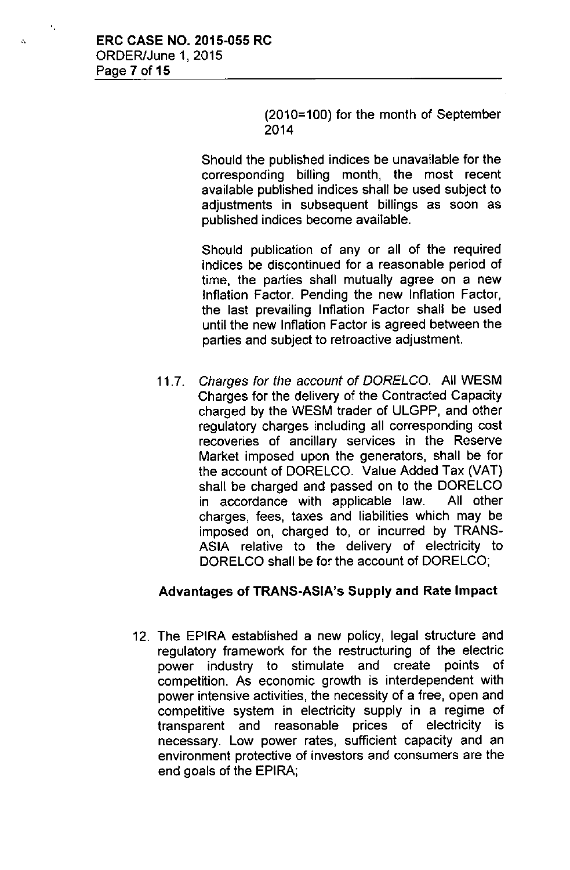(2010=100) for the month of September 2014

Should the published indices be unavailable for the corresponding billing month, the most recent available published indices shall be used subject to adiustments in subsequent billings as soon as published indices become available.

Should publication of any or all of the required indices be discontinued for a reasonable period of time, the parties shall mutually agree on a new Inflation Factor. Pending the new Inflation Factor, the last prevailing Inflation Factor shall be used until the new Inflation Factor is agreed between the parties and subject to retroactive adjustment.

*11.7. Charges for the account* of *DORELCO.* All WESM Charges for the delivery of the Contracted Capacity charged by the WESM trader of ULGPP, and other regulatory charges including all corresponding cost recoveries of ancillary services in the Reserve Market imposed upon the generators, shall be for the account of DORELCO. Value Added Tax (VAT) shall be charged and passed on to the DORELCO in accordance with applicable law. All other charges, fees, taxes and liabilities which may be imposed on, charged to, or incurred by TRANS-ASIA relative to the delivery of electricity to DORELCO shall be for the account of DORELCO;

#### Advantages of TRANS-ASiA's Supply and Rate Impact

12. The EPIRA established a new policy, legal structure and regulatory framework for the restructuring of the electric power industry to stimulate and create points of competition. As economic growth is interdependent with power intensive activities, the necessity of a free, open and competitive system in electricity supply in a regime of transparent and reasonable prices of electricity is necessary. Low power rates, sufficient capacity and an environment protective of investors and consumers are the end goals of the EPIRA;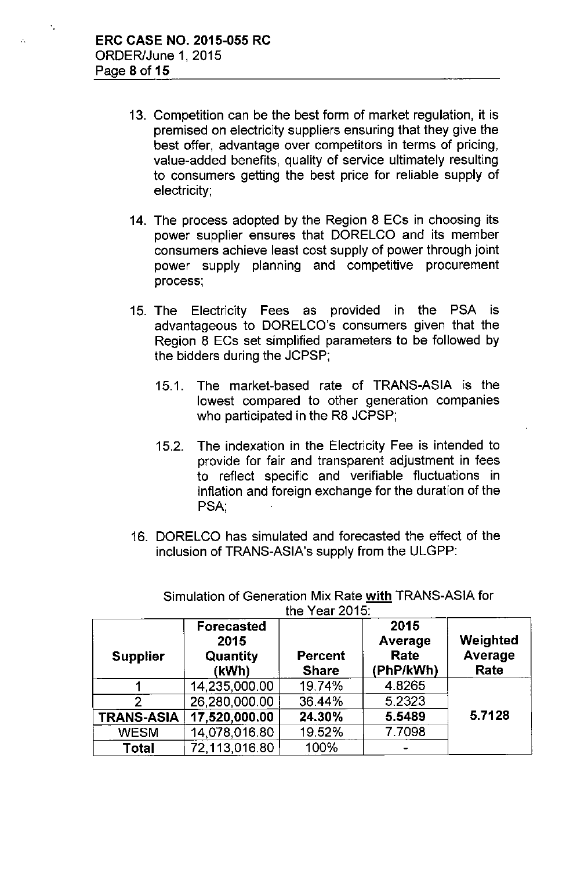- 13. Competition can be the best form of market regulation, it is premised on electricity suppliers ensuring that they give the best offer, advantage over competitors in terms of pricing, value-added benefits, quality of service ultimately resulting to consumers getting the best price for reliable supply of electricity;
- 14. The process adopted by the Region 8 ECs in choosing its power supplier ensures that DORELGO and its member consumers achieve least cost supply of power through joint power supply planning and competitive procurement process;
- 15. The Electricity Fees as provided in the PSA is advantageous to DORELCO's consumers given that the Region 8 EGs set simplified parameters to be followed by the bidders during the JGPSP;
	- 15.1. The market-based rate of TRANS-ASIA is the lowest compared to other generation companies who participated in the R8 JCPSP;
	- 15.2. The indexation in the Electricity Fee is intended to provide for fair and transparent adjustment in fees to reflect specific and verifiable fluctuations in inflation and foreign exchange for the duration of the PSA,
- 16. DORELCO has simulated and forecasted the effect of the inclusion of TRANS-ASIA's supply from the ULGPP:

| LIG TGAI ZUTU.    |                                                |                                |                                      |                             |
|-------------------|------------------------------------------------|--------------------------------|--------------------------------------|-----------------------------|
| <b>Supplier</b>   | <b>Forecasted</b><br>2015<br>Quantity<br>(kWh) | <b>Percent</b><br><b>Share</b> | 2015<br>Average<br>Rate<br>(PhP/kWh) | Weighted<br>Average<br>Rate |
|                   | 14,235,000.00                                  | 19.74%                         | 4.8265                               |                             |
| 2.                | 26,280,000.00                                  | 36.44%                         | 5.2323                               |                             |
| <b>TRANS-ASIA</b> | 17,520,000.00                                  | 24.30%                         | 5.5489                               | 5.7128                      |
| <b>WESM</b>       | 14,078,016.80                                  | 19.52%                         | 7.7098                               |                             |
| Total             | 72,113,016.80                                  | 100%                           |                                      |                             |

Simulation of Generation Mix Rate with TRANS-ASIA for the Year 2015: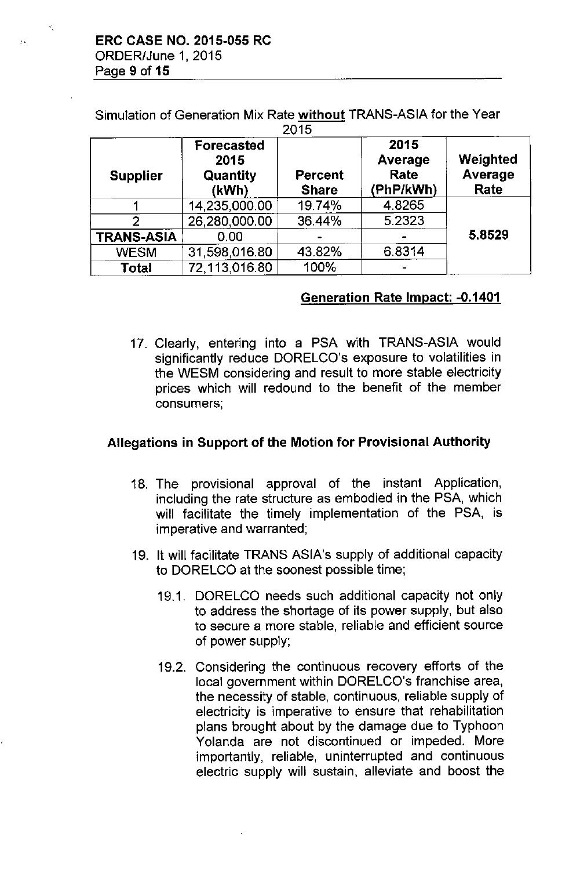$\mathcal{F}_{\mathcal{F}}$ 

Simulation of Generation Mix Rate without TRANS-ASIA for the Year  $0.75$ 

| טו טג             |                                                |                                |                                      |                             |
|-------------------|------------------------------------------------|--------------------------------|--------------------------------------|-----------------------------|
| <b>Supplier</b>   | <b>Forecasted</b><br>2015<br>Quantity<br>(kWh) | <b>Percent</b><br><b>Share</b> | 2015<br>Average<br>Rate<br>(PhP/kWh) | Weighted<br>Average<br>Rate |
|                   | 14,235,000.00                                  | 19.74%                         | 4.8265                               |                             |
| 2                 | 26,280,000.00                                  | 36.44%                         | 5.2323                               |                             |
| <b>TRANS-ASIA</b> | 0.00                                           |                                |                                      | 5.8529                      |
| <b>WESM</b>       | 31,598,016.80                                  | 43.82%                         | 6.8314                               |                             |
| <b>Total</b>      | 72,113,016.80                                  | 100%                           |                                      |                             |

## Generation Rate Impact: -0.1401

17. Clearly, entering into a PSA with TRANS-ASIA would significantly reduce DORELCO's exposure to volatilities in the WESM considering and result to more stable electricity prices which will redound to the benefit of the member consumers;

### Allegations in Support of the Motion for Provisional Authority

- 18. The provisional approval of the instant Application, including the rate structure as embodied in the PSA, which will facilitate the timely implementation of the PSA, is imperative and warranted;
- 19. It will facilitate TRANS ASIA's supply of additional capacity to DORELCO at the soonest possible time;
	- 19.1. DORELCO needs such additional capacity not only to address the shortage of its power supply, but also to secure a more stable, reliable and efficient source of power supply;
	- 19.2. Considering the continuous recovery efforts of the local government within DORELCO's franchise area, the necessity of stable, continuous, reliable supply of electricity is imperative to ensure that rehabilitation plans brought about by the damage due to Typhoon Yolanda are not discontinued or impeded. More importantly, reliable, uninterrupted and continuous electric supply will sustain, alleviate and boost the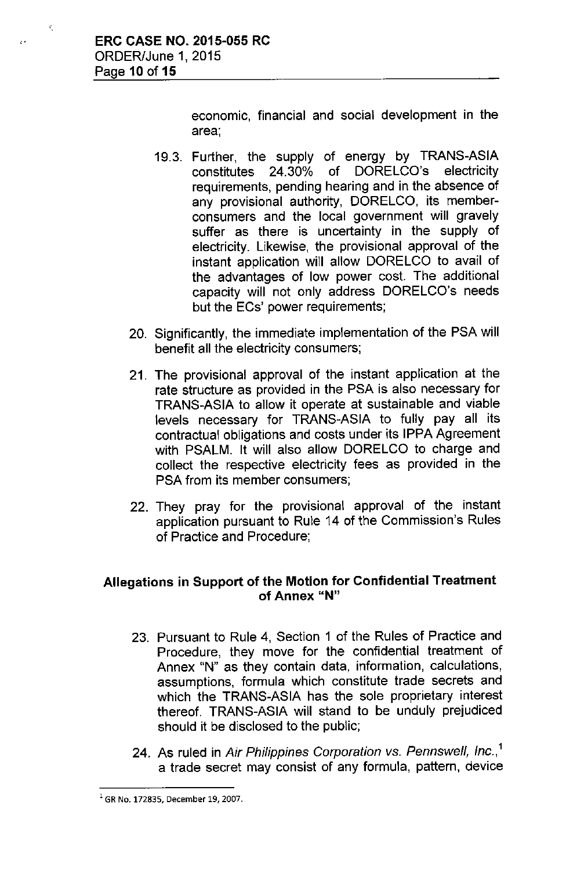Ý,

 $\hat{\mathcal{O}}$ 

economic, financial and social development in the area;

- 19.3. Further, the supply of energy by TRANS-ASIA<br>constitutes 24.30% of DORELCO's electricity constitutes 24.30% of DORELCO's electricity requirements, pending hearing and in the absence of any provisional authority, DORELCO, its memberconsumers and the local government will gravely suffer as there is uncertainty in the supply of electricity. Likewise, the provisional approval of the instant application will allow DORELCO to avail of the advantages of low power cost. The additional capacity will not only address DORELCO's needs but the ECs' power requirements;
- 20. Significantly, the immediate implementation of the PSA will benefit all the electricity consumers;
- 21. The provisional approval of the instant application at the rate structure as provided in the PSA is also necessary for TRANS-ASIA to allow it operate at sustainable and viable levels necessary for TRANS-ASIA to fully pay all its contractual obligations and costs under its IPPA Agreement with PSALM. It will also allow DORELCO to charge and collect the respective electricity fees as provided in the PSA from its member consumers;
- 22. They pray for the provisional approval of the instant application pursuant to Rule 14 of the Commission's Rules of Practice and Procedure;

# Allegations in Support of the Motion for Confidential Treatment **of Annex "N"**

- 23. Pursuant to Rule 4, Section 1 of the Rules of Practice and Procedure, they move for the confidential treatment of Annex "N" as they contain data, information, calculations, assumptions, formula which constitute trade secrets and which the TRANS-ASIA has the sole proprietary interest thereof. TRANS-ASIA will stand to be unduly prejudiced should it be disclosed to the public;
- 24. As ruled in *Air Philippines Corporation vs. Pennswell, Inc.,'* a trade secret may consist of any formula, pattern, device

 $^{1}$  GR No. 172835, December 19, 2007.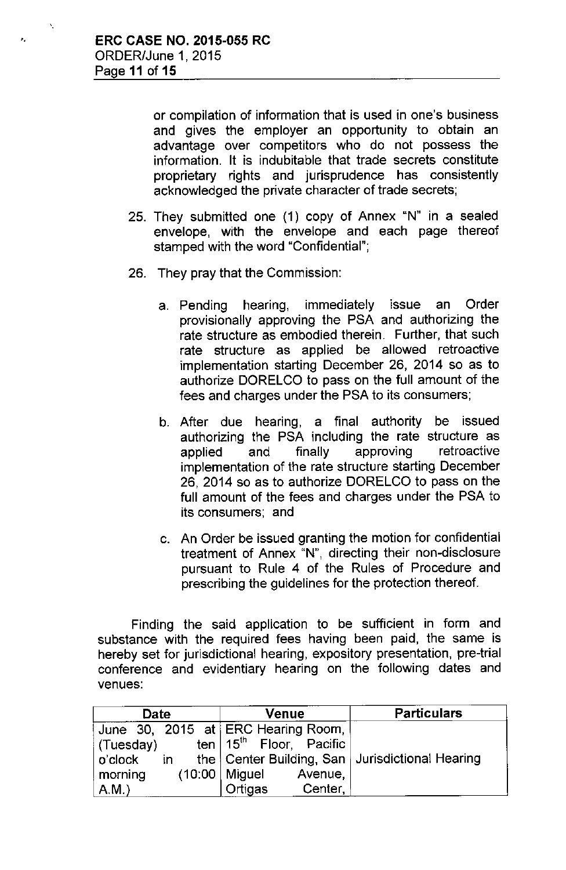or compilation of information that is used in one's business and gives the employer an opportunity to obtain an advantage over competitors who do not possess the information. It is indubitable that trade secrets constitute proprietary rights and jurisprudence has consistently acknowledged the private character of trade secrets;

- 25. They submitted one (1) copy of Annex "N" in a sealed envelope, with the envelope and each page thereof stamped with the word "Confidential";
- 26. They pray that the Commission:
	- a. Pending hearing, immediately issue an Order provisionally approving the PSA and authorizing the rate structure as embodied therein. Further, that such rate structure as applied be allowed retroactive implementation starting December 26, 2014 so as to authorize DORELCO to pass on the full amount of the fees and charges under the PSA to its consumers;
	- b. After due hearing, a final authority be issued authorizing the PSA including the rate structure as applied and finally approving retroactive implementation of the rate structure starting December 26, 2014 so as to authorize DORELCO to pass on the full amount of the fees and charges under the PSA to its consumers; and
	- c. An Order be issued granting the motion for confidential treatment of Annex "N", directing their non-disclosure pursuant to Rule 4 of the Rules of Procedure and prescribing the guidelines for the protection thereof.

Finding the said application to be sufficient in form and substance with the required fees having been paid, the same is hereby set for jurisdictional hearing, expository presentation, pre-trial conference and evidentiary hearing on the following dates and venues:

| Date      | Venue                              | <b>Particulars</b>                                                 |
|-----------|------------------------------------|--------------------------------------------------------------------|
|           | June 30, 2015 at ERC Hearing Room, |                                                                    |
| (Tuesday) | ten $15th$ Floor, Pacific          |                                                                    |
| ∣ o'clock |                                    | in the $\vert$ Center Building, San $\vert$ Jurisdictional Hearing |
| morning   | $(10:00 \mid$ Miguel<br>Avenue,    |                                                                    |
| A.M.      | Ortigas<br>Center,                 |                                                                    |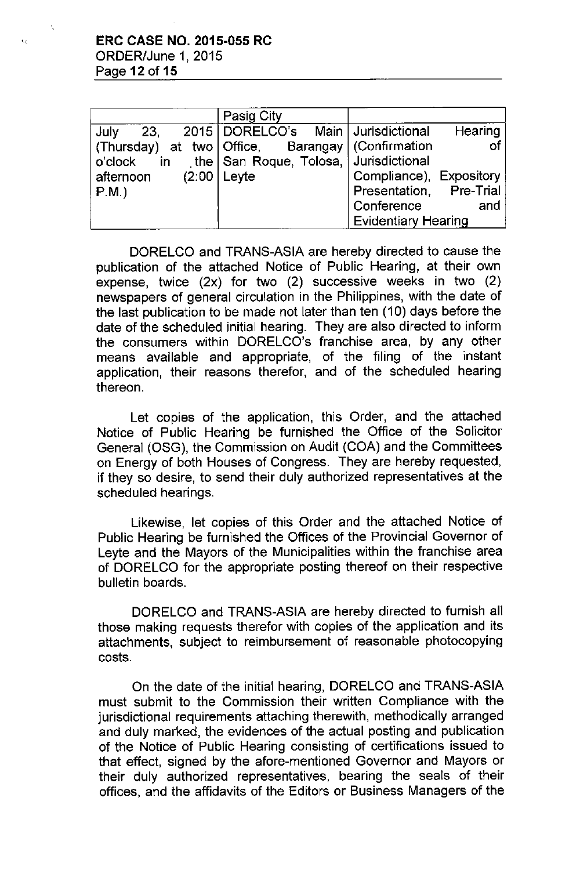|              | Pasig City                                               |                            |
|--------------|----------------------------------------------------------|----------------------------|
| July<br>-23, | 2015   DORELCO's Main   Jurisdictional                   | Hearing                    |
|              | (Thursday) at two   Office, Barangay   (Confirmation     | -of                        |
| o'clock      | in the $\vert$ San Roque, Tolosa, $\vert$ Jurisdictional |                            |
| afternoon    | $(2:00 \mid \text{Leyte})$                               | Compliance), Expository    |
| $P.M.$ )     |                                                          | Presentation, Pre-Trial    |
|              |                                                          | Conference<br>and          |
|              |                                                          | <b>Evidentiary Hearing</b> |

DORELCO and TRANS-ASIA are hereby directed to cause the publication of the attached Notice of Public Hearing, at their own expense, twice (2x) for two (2) successive weeks in two (2) newspapers of general circulation in the Philippines, with the date of the last publication to be made not later than ten (10) days before the date of the scheduled initial hearing. They are also directed to inform the consumers within DORELCO's franchise area, by any other means available and appropriate, of the filing of the instant application, their reasons therefor, and of the scheduled hearing thereon.

Let copies of the application, this Order, and the attached Notice of Public Hearing be furnished the Office of the Solicitor Generai (OSG), the Commission on Audit (COA) and the Committees on Energy of both Houses of Congress. They are hereby requested, if they so desire, to send their duly authorized representatives at the scheduled hearings.

Likewise, let copies of this Order and the attached Notice of Public Hearing be furnished the Offices of the Provincial Governor of Leyte and the Mayors of the Municipalities within the franchise area of DORELCO for the appropriate posting thereof on their respective bulletin boards.

DORELCO and TRANS-ASIA are hereby directed to furnish all those making requests therefor with copies of the application and its attachments, subject to reimbursement of reasonable photocopying costs.

On the date of the initial hearing, DORELCO and TRANS-ASIA must submit to the Commission their written Compliance with the jurisdictional requirements attaching therewith, methodically arranged and duly marked, the evidences of the actual posting and publication of the Notice of Public Hearing consisting of certifications issued to that effect, signed by the afore-mentioned Governor and Mayors or their duly authorized representatives, bearing the seals of their offices, and the affidavits of the Editors or Business Managers of the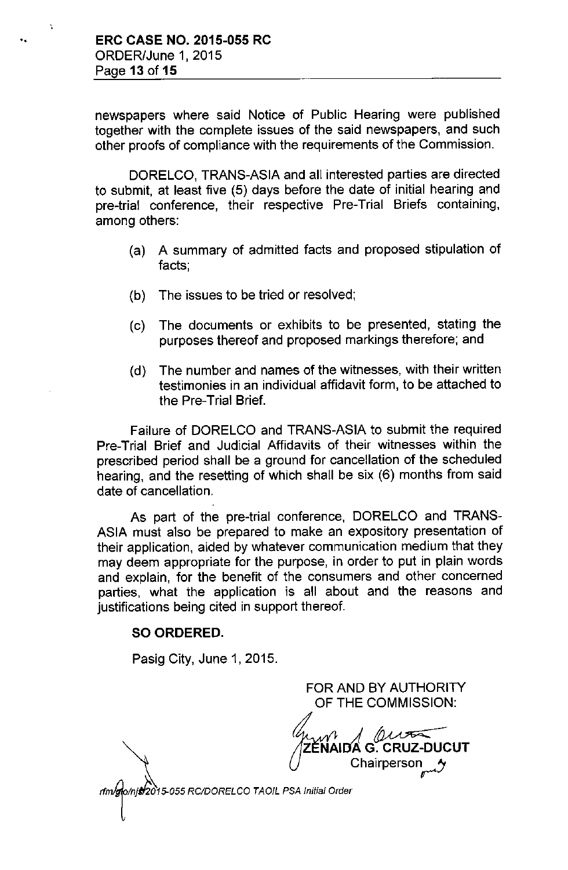newspapers where said Notice of Public Hearing were published together with the complete issues of the said newspapers, and such other proofs of compliance with the requirements of the Commission.

DORELCO, TRANS-ASIA and all interested parties are directed to submit, at least five (5) days before the date of initial hearing and pre-trial conference, their respective Pre-Trial Briefs containing, among others:

- (a) A summary of admitted facts and proposed stipulation of facts;
- (b) The issues to be tried or resolved;
- (c) The documents or exhibits to be presented, stating the purposes thereof and proposed markings therefore; and
- (d) The number and names of the witnesses, with their written testimonies in an individual affidavit form, to be attached to the Pre-Trial Brief.

Failure of DORELCO and TRANS-ASIA to submit the required Pre-Trial Brief and Judicial Affidavits of their witnesses within the prescribed period shall be a ground for cancellation of the scheduled hearing, and the resetting of which shall be six (6) months from said date of cancellation.

As part of the pre-trial conference, DORELCO and TRANS-ASIA must also be prepared to make an expository presentation of their application, aided by whatever communication medium that they may deem appropriate for the purpose, in order to put in plain words and explain, for the benefit of the consumers and other concerned parties, what the application is all about and the reasons and justifications being cited in support thereof.

#### SO ORDERED.

Pasig City, June 1, 2015.

OF THE COMMISSION:  $\mathcal{U}$  and  $\mathcal{U}$   $\mathcal{U}$   $\mathcal{U}$   $\mathcal{U}$   $\mathcal{U}$   $\mathcal{U}$   $\mathcal{U}$   $\mathcal{U}$   $\mathcal{U}$   $\mathcal{U}$   $\mathcal{U}$   $\mathcal{U}$   $\mathcal{U}$   $\mathcal{U}$   $\mathcal{U}$   $\mathcal{U}$   $\mathcal{U}$   $\mathcal{U}$   $\mathcal{U}$   $\mathcal{U}$   $\mathcal{U}$   $\mathcal{U}$   $\mathcal{U}$  Chairperson

FOR AND BY AUTHORITY

rfm/glo/njs/2015-055 RC/DORELCO TAOIL PSA Initial Order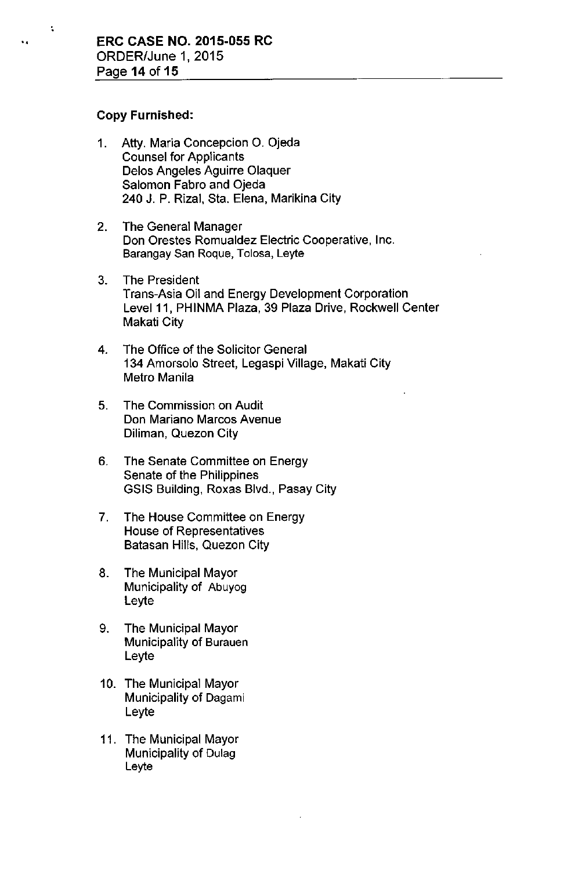#### Copy Furnished:

"

'.

- 1. Atty. Maria Concepcion O. Ojeda Counsel for Applicants Delos Angeles Aguirre Olaquer Salomon Fabro and Ojeda 240 J. P. Rizal, Sta. Elena, Marikina City
- 2. The General Manager Don Orestes Romualdez Electric Cooperative, Inc. Barangay San Roque, Tolosa, Leyte
- 3. The President Trans-Asia Oil and Energy Development Corporation Level 11, PHINMA Plaza, 39 Plaza Drive, Rockwell Center Makati City
- 4. The Office of the Solicitor General 134 Amorsoio Street, Legaspi Village, Makati City Metro Manila
- 5. The Commission on Audit Don Mariano Marcos Avenue Diliman, Quezon City
- 6. The Senate Committee on Energy Senate of the Philippines GSIS Building, Roxas Bivd., Pasay City
- 7. The House Committee on Energy House of Representatives Batasan Hills, Quezon City
- 8. The Municipal Mayor Municipality of Abuyog Leyte
- 9. The Municipal Mayor Municipality of Burauen Leyte
- 10. The Municipai Mayor Municipality of Dagami Leyte
- 11. The Municipal Mayor Municipality of Dulag Leyte